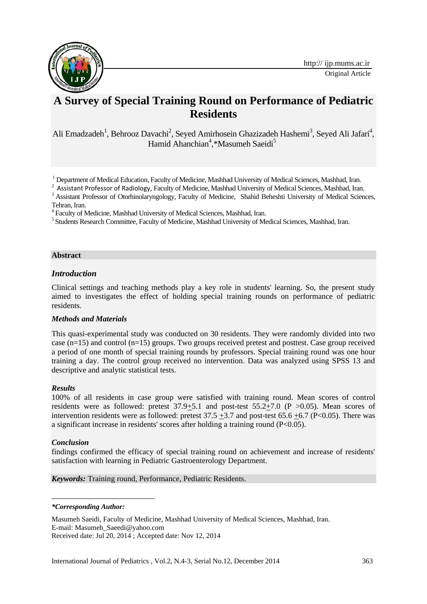

# **A Survey of Special Training Round on Performance of Pediatric Residents**

Ali Emadzadeh<sup>1</sup>, Behrooz Davachi<sup>2</sup>, Seyed Amirhosein Ghazizadeh Hashemi<sup>3</sup>, Seyed Ali Jafari<sup>4</sup>, Hamid Ahanchian<sup>4</sup>,\*Masumeh Saeidi<sup>5</sup>

<sup>1</sup> Department of Medical Education, Faculty of Medicine, Mashhad University of Medical Sciences, Mashhad, Iran.

 $2$  Assistant Professor of Radiology, Faculty of Medicine, Mashhad University of Medical Sciences, Mashhad, Iran.

<sup>3</sup> Assistant Professor of Otorhinolaryngology, Faculty of Medicine, Shahid Beheshti University of Medical Sciences, Tehran, Iran.

4 Faculty of Medicine, Mashhad University of Medical Sciences, Mashhad, Iran.

<sup>5</sup> Students Research Committee, Faculty of Medicine, Mashhad University of Medical Sciences, Mashhad, Iran.

# **Abstract**

# *Introduction*

Clinical settings and teaching methods play a key role in students' learning. So, the present study aimed to investigates the effect of holding special training rounds on performance of pediatric residents.

# *Methods and Materials*

This quasi-experimental study was conducted on 30 residents. They were randomly divided into two case (n=15) and control (n=15) groups. Two groups received pretest and posttest. Case group received a period of one month of special training rounds by professors. Special training round was one hour training a day. The control group received no intervention. Data was analyzed using SPSS 13 and descriptive and analytic statistical tests.

# *Results*

100% of all residents in case group were satisfied with training round. Mean scores of control residents were as followed: pretest  $37.9+5.1$  and post-test  $55.2+7.0$  (P  $>0.05$ ). Mean scores of intervention residents were as followed: pretest  $37.5 + 3.7$  and post-test  $65.6 + 6.7$  (P<0.05). There was a significant increase in residents' scores after holding a training round (P<0.05).

# *Conclusion*

1

findings confirmed the efficacy of special training round on achievement and increase of residents' satisfaction with learning in Pediatric Gastroenterology Department.

#### *Keywords:* Training round, Performance, Pediatric Residents.

#### *\*Corresponding Author:*

Masumeh Saeidi, Faculty of Medicine, Mashhad University of Medical Sciences, Mashhad, Iran. E-mail: Masumeh\_Saeedi@yahoo.com Received date: Jul 20, 2014 ; Accepted date: Nov 12, 2014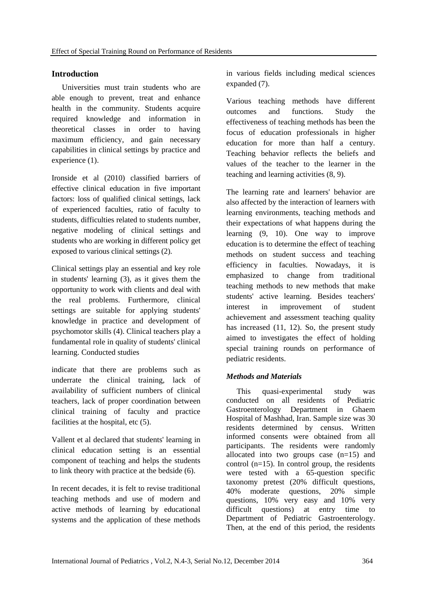# **Introduction**

Universities must train students who are able enough to prevent, treat and enhance health in the community. Students acquire required knowledge and information in theoretical classes in order to having maximum efficiency, and gain necessary capabilities in clinical settings by practice and experience (1).

Ironside et al (2010) classified barriers of effective clinical education in five important factors: loss of qualified clinical settings, lack of experienced faculties, ratio of faculty to students, difficulties related to students number, negative modeling of clinical settings and students who are working in different policy get exposed to various clinical settings (2).

Clinical settings play an essential and key role in students' learning (3), as it gives them the opportunity to work with clients and deal with the real problems. Furthermore, clinical settings are suitable for applying students' knowledge in practice and development of psychomotor skills (4). Clinical teachers play a fundamental role in quality of students' clinical learning. Conducted studies

indicate that there are problems such as underrate the clinical training, lack of availability of sufficient numbers of clinical teachers, lack of proper coordination between clinical training of faculty and practice facilities at the hospital, etc  $(5)$ .

Vallent et al declared that students' learning in clinical education setting is an essential component of teaching and helps the students to link theory with practice at the bedside (6).

In recent decades, it is felt to revise traditional teaching methods and use of modern and active methods of learning by educational systems and the application of these methods in various fields including medical sciences expanded (7).

Various teaching methods have different outcomes and functions. Study the effectiveness of teaching methods has been the focus of education professionals in higher education for more than half a century. Teaching behavior reflects the beliefs and values of the teacher to the learner in the teaching and learning activities (8, 9).

The learning rate and learners' behavior are also affected by the interaction of learners with learning environments, teaching methods and their expectations of what happens during the learning (9, 10). One way to improve education is to determine the effect of teaching methods on student success and teaching efficiency in faculties. Nowadays, it is emphasized to change from traditional teaching methods to new methods that make students' active learning. Besides teachers' interest in improvement of student achievement and assessment teaching quality has increased (11, 12). So, the present study aimed to investigates the effect of holding special training rounds on performance of pediatric residents.

# *Methods and Materials*

This quasi-experimental study was conducted on all residents of Pediatric Gastroenterology Department in Ghaem Hospital of Mashhad, Iran. Sample size was 30 residents determined by census. Written informed consents were obtained from all participants. The residents were randomly allocated into two groups case  $(n=15)$  and control (n=15). In control group, the residents were tested with a 65-question specific taxonomy pretest (20% difficult questions, 40% moderate questions, 20% simple questions, 10% very easy and 10% very difficult questions) at entry time to Department of Pediatric Gastroenterology. Then, at the end of this period, the residents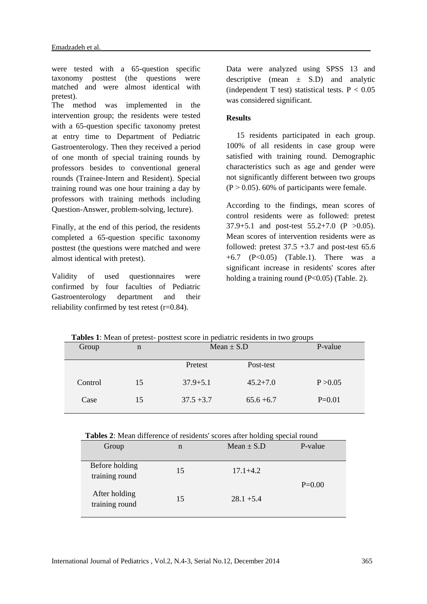were tested with a 65-question specific taxonomy posttest (the questions were matched and were almost identical with pretest). The method was implemented in the intervention group; the residents were tested with a 65-question specific taxonomy pretest at entry time to Department of Pediatric Gastroenterology. Then they received a period of one month of special training rounds by professors besides to conventional general rounds (Trainee-Intern and Resident). Special training round was one hour training a day by professors with training methods including Question-Answer, problem-solving, lecture).

Finally, at the end of this period, the residents completed a 65-question specific taxonomy posttest (the questions were matched and were almost identical with pretest).

Validity of used questionnaires were confirmed by four faculties of Pediatric Gastroenterology department and their reliability confirmed by test retest (r=0.84).

Data were analyzed using SPSS 13 and descriptive (mean  $\pm$  S.D) and analytic (independent T test) statistical tests.  $P < 0.05$ was considered significant.

# **Results**

15 residents participated in each group. 100% of all residents in case group were satisfied with training round. Demographic characteristics such as age and gender were not significantly different between two groups  $(P > 0.05)$ . 60% of participants were female.

According to the findings, mean scores of control residents were as followed: pretest 37.9+5.1 and post-test 55.2+7.0 (P >0.05). Mean scores of intervention residents were as followed: pretest  $37.5 + 3.7$  and post-test  $65.6$  $+6.7$  (P<0.05) (Table.1). There was a significant increase in residents' scores after holding a training round (P<0.05) (Table. 2).

| <b>Tubles 1.</b> Model of protest<br>positost soore in pediatric residents in two groups |    |                |              |          |  |  |
|------------------------------------------------------------------------------------------|----|----------------|--------------|----------|--|--|
| Group                                                                                    | n  | Mean $\pm$ S.D |              | P-value  |  |  |
|                                                                                          |    | Pretest        | Post-test    |          |  |  |
| Control                                                                                  | 15 | $37.9 + 5.1$   | $45.2 + 7.0$ | P > 0.05 |  |  |
| Case                                                                                     | 15 | $37.5 + 3.7$   | $65.6 + 6.7$ | $P=0.01$ |  |  |

 **Tables 1**: Mean of pretest- posttest score in pediatric residents in two groups

|  |  | <b>Tables 2:</b> Mean difference of residents' scores after holding special round |  |
|--|--|-----------------------------------------------------------------------------------|--|
|--|--|-----------------------------------------------------------------------------------|--|

| Group                            | n  | $Mean \pm S.D$ | P-value  |  |
|----------------------------------|----|----------------|----------|--|
| Before holding<br>training round | 15 | $17.1 + 4.2$   | $P=0.00$ |  |
| After holding<br>training round  | 15 | $28.1 + 5.4$   |          |  |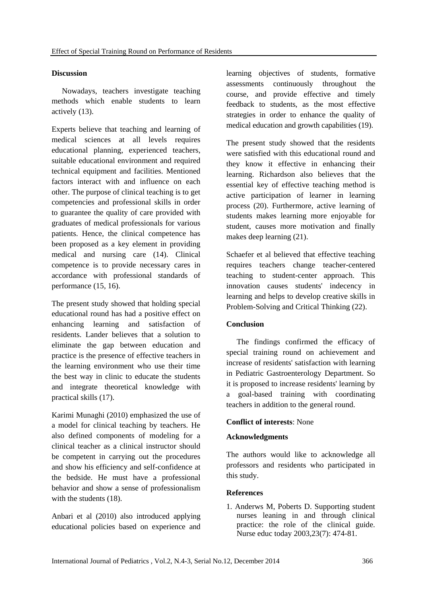# **Discussion**

Nowadays, teachers investigate teaching methods which enable students to learn actively (13).

Experts believe that teaching and learning of medical sciences at all levels requires educational planning, experienced teachers, suitable educational environment and required technical equipment and facilities. Mentioned factors interact with and influence on each other. The purpose of clinical teaching is to get competencies and professional skills in order to guarantee the quality of care provided with graduates of medical professionals for various patients. Hence, the clinical competence has been proposed as a key element in providing medical and nursing care (14). Clinical competence is to provide necessary cares in accordance with professional standards of performance (15, 16).

The present study showed that holding special educational round has had a positive effect on enhancing learning and satisfaction of residents. Lander believes that a solution to eliminate the gap between education and practice is the presence of effective teachers in the learning environment who use their time the best way in clinic to educate the students and integrate theoretical knowledge with practical skills (17).

Karimi Munaghi (2010) emphasized the use of a model for clinical teaching by teachers. He also defined components of modeling for a clinical teacher as a clinical instructor should be competent in carrying out the procedures and show his efficiency and self-confidence at the bedside. He must have a professional behavior and show a sense of professionalism with the students (18).

Anbari et al (2010) also introduced applying educational policies based on experience and

learning objectives of students, formative assessments continuously throughout the course, and provide effective and timely feedback to students, as the most effective strategies in order to enhance the quality of medical education and growth capabilities (19).

The present study showed that the residents were satisfied with this educational round and they know it effective in enhancing their learning. Richardson also believes that the essential key of effective teaching method is active participation of learner in learning process (20). Furthermore, active learning of students makes learning more enjoyable for student, causes more motivation and finally makes deep learning (21).

Schaefer et al believed that effective teaching requires teachers change teacher-centered teaching to student-center approach. This innovation causes students' indecency in learning and helps to develop creative skills in Problem-Solving and Critical Thinking (22).

# **Conclusion**

The findings confirmed the efficacy of special training round on achievement and increase of residents' satisfaction with learning in Pediatric Gastroenterology Department. So it is proposed to increase residents' learning by a goal-based training with coordinating teachers in addition to the general round.

# **Conflict of interests**: None

# **Acknowledgments**

The authors would like to acknowledge all professors and residents who participated in this study.

# **References**

1. Anderws M, Poberts D. Supporting student nurses leaning in and through clinical practice: the role of the clinical guide. Nurse educ today 2003,23(7): 474-81.